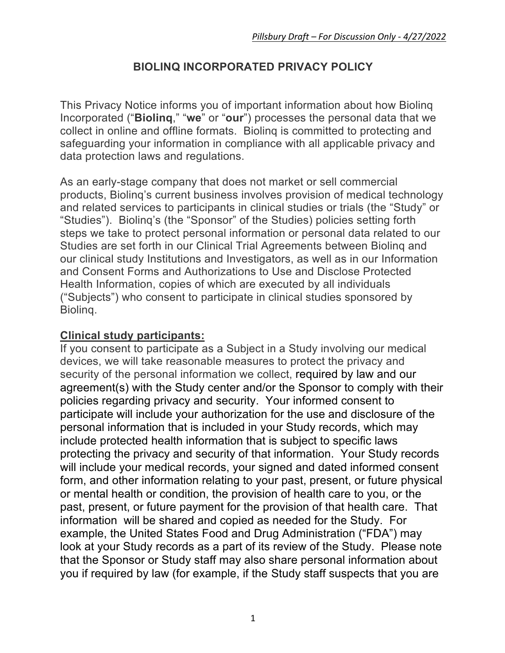## **BIOLINQ INCORPORATED PRIVACY POLICY**

This Privacy Notice informs you of important information about how Biolinq Incorporated ("**Biolinq**," "**we**" or "**our**") processes the personal data that we collect in online and offline formats. Biolinq is committed to protecting and safeguarding your information in compliance with all applicable privacy and data protection laws and regulations.

As an early-stage company that does not market or sell commercial products, Biolinq's current business involves provision of medical technology and related services to participants in clinical studies or trials (the "Study" or "Studies"). Biolinq's (the "Sponsor" of the Studies) policies setting forth steps we take to protect personal information or personal data related to our Studies are set forth in our Clinical Trial Agreements between Biolinq and our clinical study Institutions and Investigators, as well as in our Information and Consent Forms and Authorizations to Use and Disclose Protected Health Information, copies of which are executed by all individuals ("Subjects") who consent to participate in clinical studies sponsored by Biolinq.

#### **Clinical study participants:**

If you consent to participate as a Subject in a Study involving our medical devices, we will take reasonable measures to protect the privacy and security of the personal information we collect, required by law and our agreement(s) with the Study center and/or the Sponsor to comply with their policies regarding privacy and security. Your informed consent to participate will include your authorization for the use and disclosure of the personal information that is included in your Study records, which may include protected health information that is subject to specific laws protecting the privacy and security of that information. Your Study records will include your medical records, your signed and dated informed consent form, and other information relating to your past, present, or future physical or mental health or condition, the provision of health care to you, or the past, present, or future payment for the provision of that health care. That information will be shared and copied as needed for the Study. For example, the United States Food and Drug Administration ("FDA") may look at your Study records as a part of its review of the Study. Please note that the Sponsor or Study staff may also share personal information about you if required by law (for example, if the Study staff suspects that you are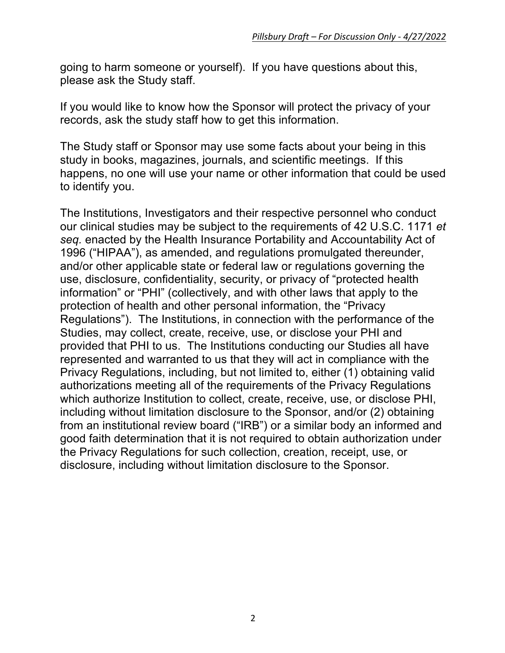going to harm someone or yourself). If you have questions about this, please ask the Study staff.

If you would like to know how the Sponsor will protect the privacy of your records, ask the study staff how to get this information.

The Study staff or Sponsor may use some facts about your being in this study in books, magazines, journals, and scientific meetings. If this happens, no one will use your name or other information that could be used to identify you.

The Institutions, Investigators and their respective personnel who conduct our clinical studies may be subject to the requirements of 42 U.S.C. 1171 *et seq.* enacted by the Health Insurance Portability and Accountability Act of 1996 ("HIPAA"), as amended, and regulations promulgated thereunder, and/or other applicable state or federal law or regulations governing the use, disclosure, confidentiality, security, or privacy of "protected health information" or "PHI" (collectively, and with other laws that apply to the protection of health and other personal information, the "Privacy Regulations"). The Institutions, in connection with the performance of the Studies, may collect, create, receive, use, or disclose your PHI and provided that PHI to us. The Institutions conducting our Studies all have represented and warranted to us that they will act in compliance with the Privacy Regulations, including, but not limited to, either (1) obtaining valid authorizations meeting all of the requirements of the Privacy Regulations which authorize Institution to collect, create, receive, use, or disclose PHI, including without limitation disclosure to the Sponsor, and/or (2) obtaining from an institutional review board ("IRB") or a similar body an informed and good faith determination that it is not required to obtain authorization under the Privacy Regulations for such collection, creation, receipt, use, or disclosure, including without limitation disclosure to the Sponsor.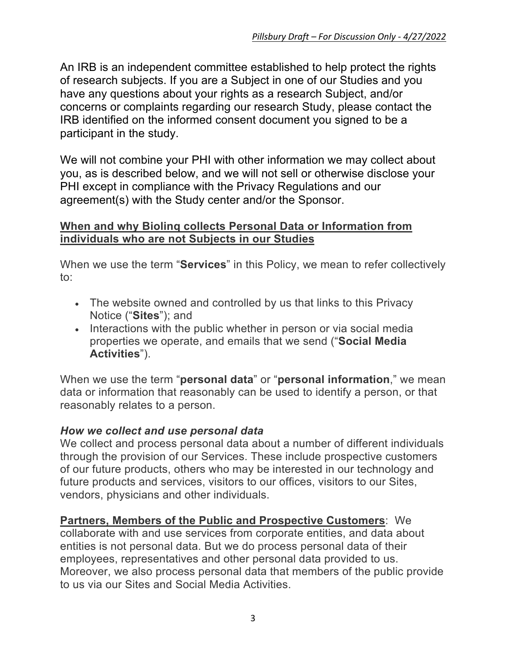An IRB is an independent committee established to help protect the rights of research subjects. If you are a Subject in one of our Studies and you have any questions about your rights as a research Subject, and/or concerns or complaints regarding our research Study, please contact the IRB identified on the informed consent document you signed to be a participant in the study.

We will not combine your PHI with other information we may collect about you, as is described below, and we will not sell or otherwise disclose your PHI except in compliance with the Privacy Regulations and our agreement(s) with the Study center and/or the Sponsor.

#### **When and why Biolinq collects Personal Data or Information from individuals who are not Subjects in our Studies**

When we use the term "**Services**" in this Policy, we mean to refer collectively to:

- The website owned and controlled by us that links to this Privacy Notice ("**Sites**"); and
- Interactions with the public whether in person or via social media properties we operate, and emails that we send ("**Social Media Activities**").

When we use the term "**personal data**" or "**personal information**," we mean data or information that reasonably can be used to identify a person, or that reasonably relates to a person.

#### *How we collect and use personal data*

We collect and process personal data about a number of different individuals through the provision of our Services. These include prospective customers of our future products, others who may be interested in our technology and future products and services, visitors to our offices, visitors to our Sites, vendors, physicians and other individuals.

**Partners, Members of the Public and Prospective Customers**: We collaborate with and use services from corporate entities, and data about entities is not personal data. But we do process personal data of their employees, representatives and other personal data provided to us. Moreover, we also process personal data that members of the public provide to us via our Sites and Social Media Activities.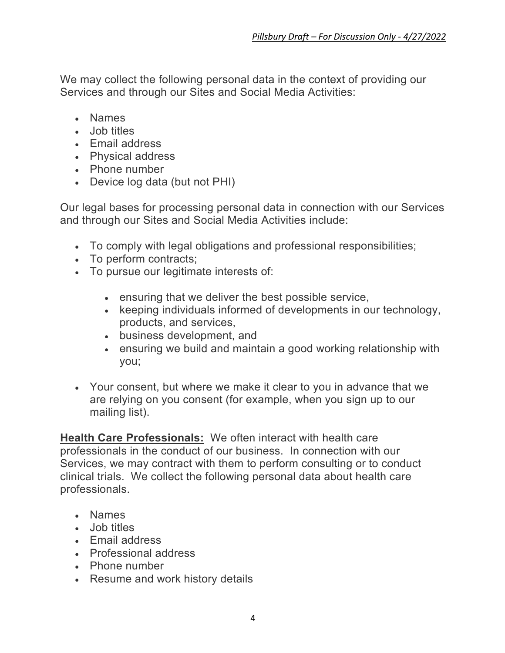We may collect the following personal data in the context of providing our Services and through our Sites and Social Media Activities:

- Names
- Job titles
- Email address
- Physical address
- Phone number
- Device log data (but not PHI)

Our legal bases for processing personal data in connection with our Services and through our Sites and Social Media Activities include:

- To comply with legal obligations and professional responsibilities;
- To perform contracts;
- To pursue our legitimate interests of:
	- ensuring that we deliver the best possible service,
	- keeping individuals informed of developments in our technology, products, and services,
	- business development, and
	- ensuring we build and maintain a good working relationship with you;
- Your consent, but where we make it clear to you in advance that we are relying on you consent (for example, when you sign up to our mailing list).

**Health Care Professionals:** We often interact with health care professionals in the conduct of our business. In connection with our Services, we may contract with them to perform consulting or to conduct clinical trials. We collect the following personal data about health care professionals.

- Names
- Job titles
- Email address
- Professional address
- Phone number
- Resume and work history details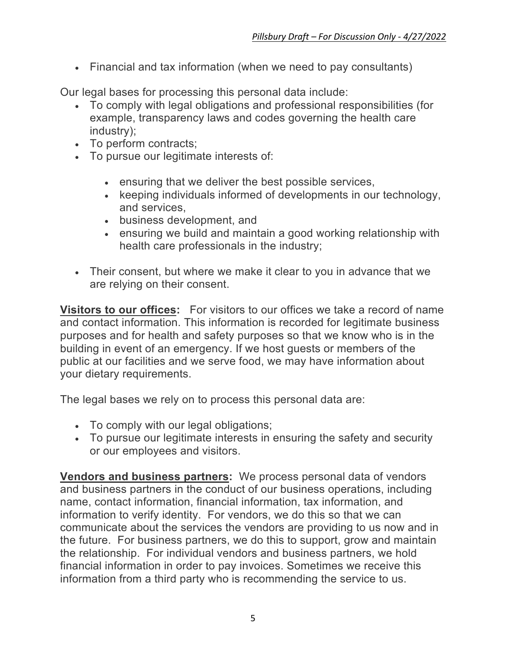• Financial and tax information (when we need to pay consultants)

Our legal bases for processing this personal data include:

- To comply with legal obligations and professional responsibilities (for example, transparency laws and codes governing the health care industry);
- To perform contracts;
- To pursue our legitimate interests of:
	- ensuring that we deliver the best possible services,
	- keeping individuals informed of developments in our technology, and services,
	- business development, and
	- ensuring we build and maintain a good working relationship with health care professionals in the industry;
- Their consent, but where we make it clear to you in advance that we are relying on their consent.

**Visitors to our offices:** For visitors to our offices we take a record of name and contact information. This information is recorded for legitimate business purposes and for health and safety purposes so that we know who is in the building in event of an emergency. If we host guests or members of the public at our facilities and we serve food, we may have information about your dietary requirements.

The legal bases we rely on to process this personal data are:

- To comply with our legal obligations;
- To pursue our legitimate interests in ensuring the safety and security or our employees and visitors.

**Vendors and business partners:** We process personal data of vendors and business partners in the conduct of our business operations, including name, contact information, financial information, tax information, and information to verify identity. For vendors, we do this so that we can communicate about the services the vendors are providing to us now and in the future. For business partners, we do this to support, grow and maintain the relationship. For individual vendors and business partners, we hold financial information in order to pay invoices. Sometimes we receive this information from a third party who is recommending the service to us.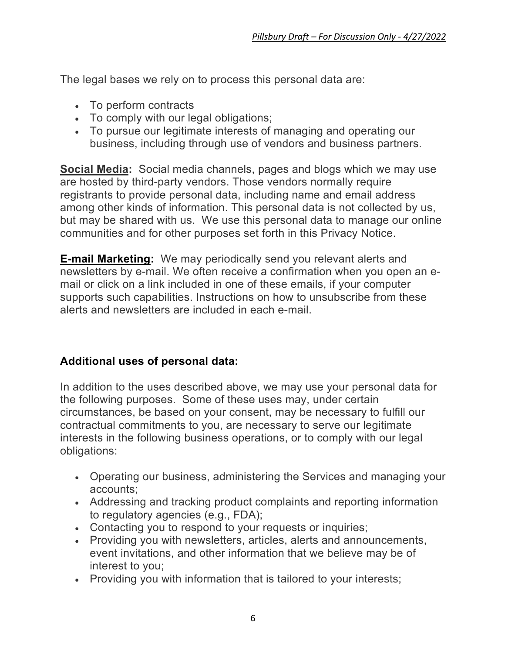The legal bases we rely on to process this personal data are:

- To perform contracts
- To comply with our legal obligations;
- To pursue our legitimate interests of managing and operating our business, including through use of vendors and business partners.

**Social Media:** Social media channels, pages and blogs which we may use are hosted by third-party vendors. Those vendors normally require registrants to provide personal data, including name and email address among other kinds of information. This personal data is not collected by us, but may be shared with us. We use this personal data to manage our online communities and for other purposes set forth in this Privacy Notice.

**E-mail Marketing:** We may periodically send you relevant alerts and newsletters by e-mail. We often receive a confirmation when you open an email or click on a link included in one of these emails, if your computer supports such capabilities. Instructions on how to unsubscribe from these alerts and newsletters are included in each e-mail.

## **Additional uses of personal data:**

In addition to the uses described above, we may use your personal data for the following purposes. Some of these uses may, under certain circumstances, be based on your consent, may be necessary to fulfill our contractual commitments to you, are necessary to serve our legitimate interests in the following business operations, or to comply with our legal obligations:

- Operating our business, administering the Services and managing your accounts;
- Addressing and tracking product complaints and reporting information to regulatory agencies (e.g., FDA);
- Contacting you to respond to your requests or inquiries;
- Providing you with newsletters, articles, alerts and announcements, event invitations, and other information that we believe may be of interest to you;
- Providing you with information that is tailored to your interests;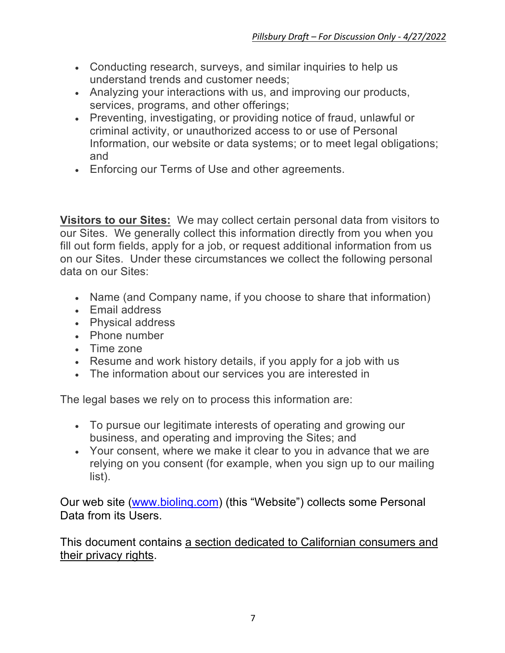- Conducting research, surveys, and similar inquiries to help us understand trends and customer needs;
- Analyzing your interactions with us, and improving our products, services, programs, and other offerings;
- Preventing, investigating, or providing notice of fraud, unlawful or criminal activity, or unauthorized access to or use of Personal Information, our website or data systems; or to meet legal obligations; and
- Enforcing our Terms of Use and other agreements.

**Visitors to our Sites:** We may collect certain personal data from visitors to our Sites. We generally collect this information directly from you when you fill out form fields, apply for a job, or request additional information from us on our Sites. Under these circumstances we collect the following personal data on our Sites:

- Name (and Company name, if you choose to share that information)
- Email address
- Physical address
- Phone number
- Time zone
- Resume and work history details, if you apply for a job with us
- The information about our services you are interested in

The legal bases we rely on to process this information are:

- To pursue our legitimate interests of operating and growing our business, and operating and improving the Sites; and
- Your consent, where we make it clear to you in advance that we are relying on you consent (for example, when you sign up to our mailing list).

Our web site (www.biolinq.com) (this "Website") collects some Personal Data from its Users.

This document contains a section dedicated to Californian consumers and their privacy rights.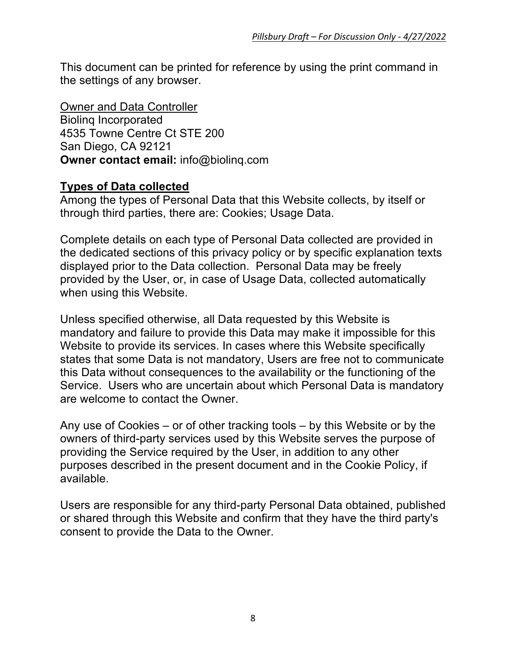This document can be printed for reference by using the print command in the settings of any browser.

Owner and Data Controller Biolinq Incorporated 4535 Towne Centre Ct STE 200 San Diego, CA 92121 **Owner contact email:** info@biolinq.com

## **Types of Data collected**

Among the types of Personal Data that this Website collects, by itself or through third parties, there are: Cookies; Usage Data.

Complete details on each type of Personal Data collected are provided in the dedicated sections of this privacy policy or by specific explanation texts displayed prior to the Data collection. Personal Data may be freely provided by the User, or, in case of Usage Data, collected automatically when using this Website.

Unless specified otherwise, all Data requested by this Website is mandatory and failure to provide this Data may make it impossible for this Website to provide its services. In cases where this Website specifically states that some Data is not mandatory, Users are free not to communicate this Data without consequences to the availability or the functioning of the Service. Users who are uncertain about which Personal Data is mandatory are welcome to contact the Owner.

Any use of Cookies – or of other tracking tools – by this Website or by the owners of third-party services used by this Website serves the purpose of providing the Service required by the User, in addition to any other purposes described in the present document and in the Cookie Policy, if available.

Users are responsible for any third-party Personal Data obtained, published or shared through this Website and confirm that they have the third party's consent to provide the Data to the Owner.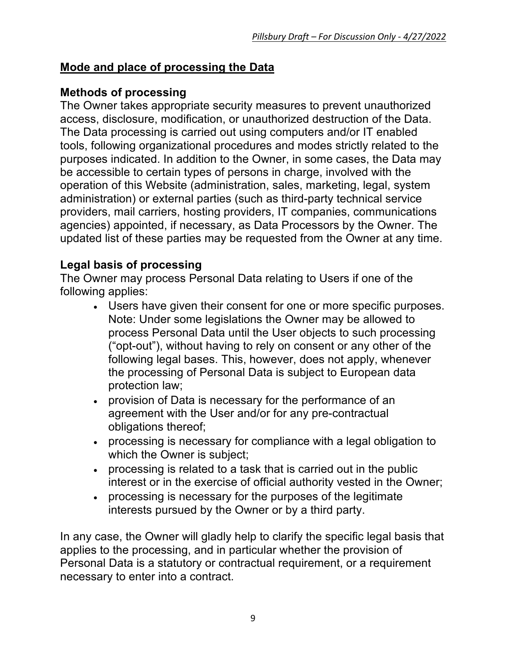# **Mode and place of processing the Data**

# **Methods of processing**

The Owner takes appropriate security measures to prevent unauthorized access, disclosure, modification, or unauthorized destruction of the Data. The Data processing is carried out using computers and/or IT enabled tools, following organizational procedures and modes strictly related to the purposes indicated. In addition to the Owner, in some cases, the Data may be accessible to certain types of persons in charge, involved with the operation of this Website (administration, sales, marketing, legal, system administration) or external parties (such as third-party technical service providers, mail carriers, hosting providers, IT companies, communications agencies) appointed, if necessary, as Data Processors by the Owner. The updated list of these parties may be requested from the Owner at any time.

# **Legal basis of processing**

The Owner may process Personal Data relating to Users if one of the following applies:

- Users have given their consent for one or more specific purposes. Note: Under some legislations the Owner may be allowed to process Personal Data until the User objects to such processing ("opt-out"), without having to rely on consent or any other of the following legal bases. This, however, does not apply, whenever the processing of Personal Data is subject to European data protection law;
- provision of Data is necessary for the performance of an agreement with the User and/or for any pre-contractual obligations thereof;
- processing is necessary for compliance with a legal obligation to which the Owner is subject;
- processing is related to a task that is carried out in the public interest or in the exercise of official authority vested in the Owner;
- processing is necessary for the purposes of the legitimate interests pursued by the Owner or by a third party.

In any case, the Owner will gladly help to clarify the specific legal basis that applies to the processing, and in particular whether the provision of Personal Data is a statutory or contractual requirement, or a requirement necessary to enter into a contract.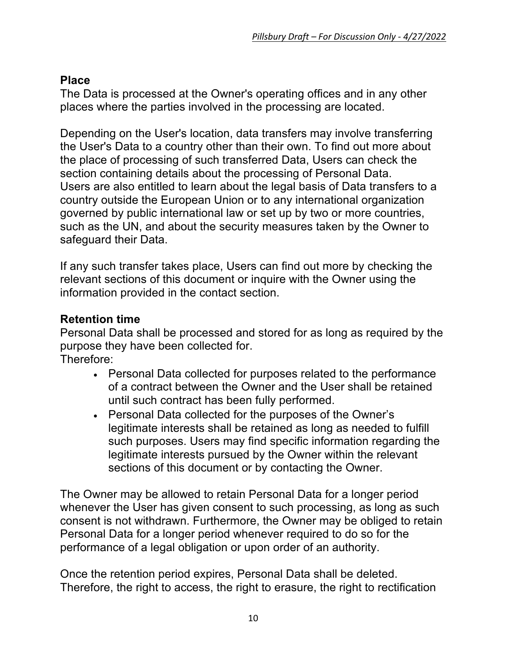# **Place**

The Data is processed at the Owner's operating offices and in any other places where the parties involved in the processing are located.

Depending on the User's location, data transfers may involve transferring the User's Data to a country other than their own. To find out more about the place of processing of such transferred Data, Users can check the section containing details about the processing of Personal Data. Users are also entitled to learn about the legal basis of Data transfers to a country outside the European Union or to any international organization governed by public international law or set up by two or more countries, such as the UN, and about the security measures taken by the Owner to safeguard their Data.

If any such transfer takes place, Users can find out more by checking the relevant sections of this document or inquire with the Owner using the information provided in the contact section.

## **Retention time**

Personal Data shall be processed and stored for as long as required by the purpose they have been collected for. Therefore:

- Personal Data collected for purposes related to the performance of a contract between the Owner and the User shall be retained until such contract has been fully performed.
- Personal Data collected for the purposes of the Owner's legitimate interests shall be retained as long as needed to fulfill such purposes. Users may find specific information regarding the legitimate interests pursued by the Owner within the relevant sections of this document or by contacting the Owner.

The Owner may be allowed to retain Personal Data for a longer period whenever the User has given consent to such processing, as long as such consent is not withdrawn. Furthermore, the Owner may be obliged to retain Personal Data for a longer period whenever required to do so for the performance of a legal obligation or upon order of an authority.

Once the retention period expires, Personal Data shall be deleted. Therefore, the right to access, the right to erasure, the right to rectification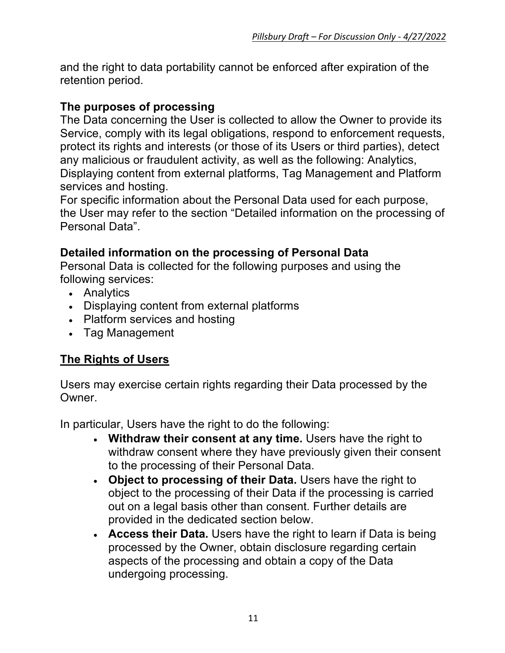and the right to data portability cannot be enforced after expiration of the retention period.

## **The purposes of processing**

The Data concerning the User is collected to allow the Owner to provide its Service, comply with its legal obligations, respond to enforcement requests, protect its rights and interests (or those of its Users or third parties), detect any malicious or fraudulent activity, as well as the following: Analytics, Displaying content from external platforms, Tag Management and Platform services and hosting.

For specific information about the Personal Data used for each purpose, the User may refer to the section "Detailed information on the processing of Personal Data".

## **Detailed information on the processing of Personal Data**

Personal Data is collected for the following purposes and using the following services:

- Analytics
- Displaying content from external platforms
- Platform services and hosting
- Tag Management

## **The Rights of Users**

Users may exercise certain rights regarding their Data processed by the Owner.

In particular, Users have the right to do the following:

- **Withdraw their consent at any time.** Users have the right to withdraw consent where they have previously given their consent to the processing of their Personal Data.
- **Object to processing of their Data.** Users have the right to object to the processing of their Data if the processing is carried out on a legal basis other than consent. Further details are provided in the dedicated section below.
- **Access their Data.** Users have the right to learn if Data is being processed by the Owner, obtain disclosure regarding certain aspects of the processing and obtain a copy of the Data undergoing processing.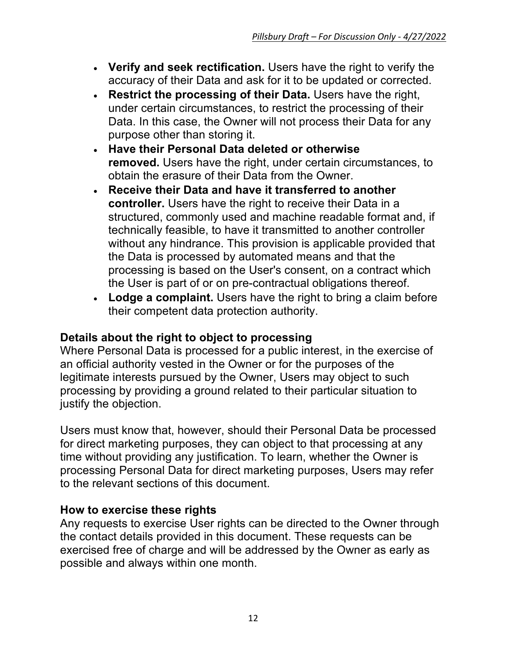- **Verify and seek rectification.** Users have the right to verify the accuracy of their Data and ask for it to be updated or corrected.
- **Restrict the processing of their Data.** Users have the right, under certain circumstances, to restrict the processing of their Data. In this case, the Owner will not process their Data for any purpose other than storing it.
- **Have their Personal Data deleted or otherwise removed.** Users have the right, under certain circumstances, to obtain the erasure of their Data from the Owner.
- **Receive their Data and have it transferred to another controller.** Users have the right to receive their Data in a structured, commonly used and machine readable format and, if technically feasible, to have it transmitted to another controller without any hindrance. This provision is applicable provided that the Data is processed by automated means and that the processing is based on the User's consent, on a contract which the User is part of or on pre-contractual obligations thereof.
- **Lodge a complaint.** Users have the right to bring a claim before their competent data protection authority.

## **Details about the right to object to processing**

Where Personal Data is processed for a public interest, in the exercise of an official authority vested in the Owner or for the purposes of the legitimate interests pursued by the Owner, Users may object to such processing by providing a ground related to their particular situation to justify the objection.

Users must know that, however, should their Personal Data be processed for direct marketing purposes, they can object to that processing at any time without providing any justification. To learn, whether the Owner is processing Personal Data for direct marketing purposes, Users may refer to the relevant sections of this document.

## **How to exercise these rights**

Any requests to exercise User rights can be directed to the Owner through the contact details provided in this document. These requests can be exercised free of charge and will be addressed by the Owner as early as possible and always within one month.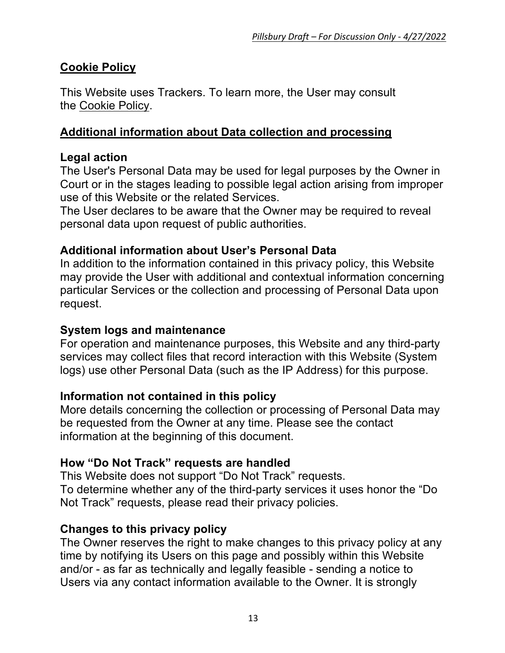# **Cookie Policy**

This Website uses Trackers. To learn more, the User may consult the Cookie Policy.

### **Additional information about Data collection and processing**

#### **Legal action**

The User's Personal Data may be used for legal purposes by the Owner in Court or in the stages leading to possible legal action arising from improper use of this Website or the related Services.

The User declares to be aware that the Owner may be required to reveal personal data upon request of public authorities.

## **Additional information about User's Personal Data**

In addition to the information contained in this privacy policy, this Website may provide the User with additional and contextual information concerning particular Services or the collection and processing of Personal Data upon request.

#### **System logs and maintenance**

For operation and maintenance purposes, this Website and any third-party services may collect files that record interaction with this Website (System logs) use other Personal Data (such as the IP Address) for this purpose.

#### **Information not contained in this policy**

More details concerning the collection or processing of Personal Data may be requested from the Owner at any time. Please see the contact information at the beginning of this document.

#### **How "Do Not Track" requests are handled**

This Website does not support "Do Not Track" requests.

To determine whether any of the third-party services it uses honor the "Do Not Track" requests, please read their privacy policies.

## **Changes to this privacy policy**

The Owner reserves the right to make changes to this privacy policy at any time by notifying its Users on this page and possibly within this Website and/or - as far as technically and legally feasible - sending a notice to Users via any contact information available to the Owner. It is strongly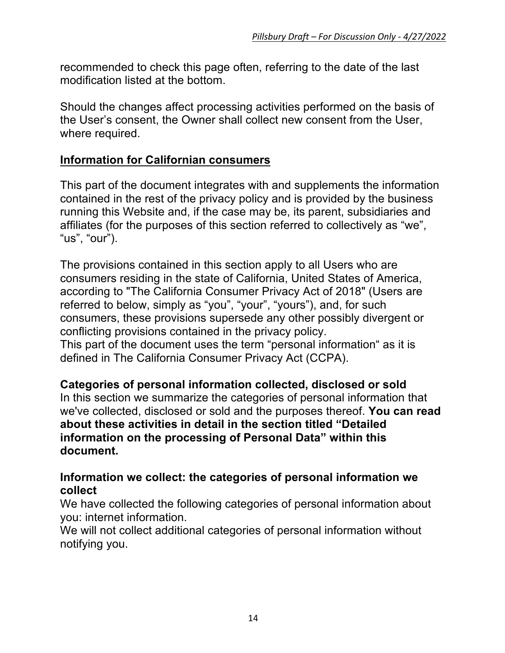recommended to check this page often, referring to the date of the last modification listed at the bottom.

Should the changes affect processing activities performed on the basis of the User's consent, the Owner shall collect new consent from the User, where required.

#### **Information for Californian consumers**

This part of the document integrates with and supplements the information contained in the rest of the privacy policy and is provided by the business running this Website and, if the case may be, its parent, subsidiaries and affiliates (for the purposes of this section referred to collectively as "we", "us", "our").

The provisions contained in this section apply to all Users who are consumers residing in the state of California, United States of America, according to "The California Consumer Privacy Act of 2018" (Users are referred to below, simply as "you", "your", "yours"), and, for such consumers, these provisions supersede any other possibly divergent or conflicting provisions contained in the privacy policy. This part of the document uses the term "personal information" as it is defined in The California Consumer Privacy Act (CCPA).

**Categories of personal information collected, disclosed or sold** In this section we summarize the categories of personal information that we've collected, disclosed or sold and the purposes thereof. **You can read about these activities in detail in the section titled "Detailed information on the processing of Personal Data" within this document.**

#### **Information we collect: the categories of personal information we collect**

We have collected the following categories of personal information about you: internet information.

We will not collect additional categories of personal information without notifying you.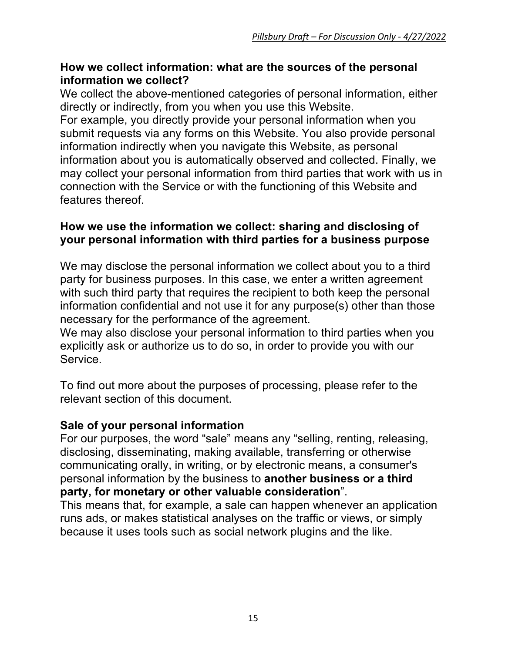#### **How we collect information: what are the sources of the personal information we collect?**

We collect the above-mentioned categories of personal information, either directly or indirectly, from you when you use this Website.

For example, you directly provide your personal information when you submit requests via any forms on this Website. You also provide personal information indirectly when you navigate this Website, as personal information about you is automatically observed and collected. Finally, we may collect your personal information from third parties that work with us in connection with the Service or with the functioning of this Website and features thereof.

### **How we use the information we collect: sharing and disclosing of your personal information with third parties for a business purpose**

We may disclose the personal information we collect about you to a third party for business purposes. In this case, we enter a written agreement with such third party that requires the recipient to both keep the personal information confidential and not use it for any purpose(s) other than those necessary for the performance of the agreement.

We may also disclose your personal information to third parties when you explicitly ask or authorize us to do so, in order to provide you with our Service.

To find out more about the purposes of processing, please refer to the relevant section of this document.

## **Sale of your personal information**

For our purposes, the word "sale" means any "selling, renting, releasing, disclosing, disseminating, making available, transferring or otherwise communicating orally, in writing, or by electronic means, a consumer's personal information by the business to **another business or a third party, for monetary or other valuable consideration**".

This means that, for example, a sale can happen whenever an application runs ads, or makes statistical analyses on the traffic or views, or simply because it uses tools such as social network plugins and the like.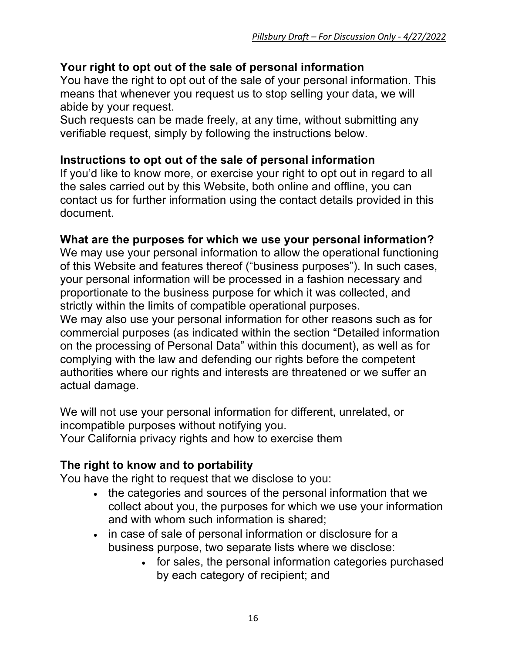## **Your right to opt out of the sale of personal information**

You have the right to opt out of the sale of your personal information. This means that whenever you request us to stop selling your data, we will abide by your request.

Such requests can be made freely, at any time, without submitting any verifiable request, simply by following the instructions below.

#### **Instructions to opt out of the sale of personal information**

If you'd like to know more, or exercise your right to opt out in regard to all the sales carried out by this Website, both online and offline, you can contact us for further information using the contact details provided in this document.

#### **What are the purposes for which we use your personal information?**

We may use your personal information to allow the operational functioning of this Website and features thereof ("business purposes"). In such cases, your personal information will be processed in a fashion necessary and proportionate to the business purpose for which it was collected, and strictly within the limits of compatible operational purposes.

We may also use your personal information for other reasons such as for commercial purposes (as indicated within the section "Detailed information on the processing of Personal Data" within this document), as well as for complying with the law and defending our rights before the competent authorities where our rights and interests are threatened or we suffer an actual damage.

We will not use your personal information for different, unrelated, or incompatible purposes without notifying you. Your California privacy rights and how to exercise them

## **The right to know and to portability**

You have the right to request that we disclose to you:

- the categories and sources of the personal information that we collect about you, the purposes for which we use your information and with whom such information is shared;
- in case of sale of personal information or disclosure for a business purpose, two separate lists where we disclose:
	- for sales, the personal information categories purchased by each category of recipient; and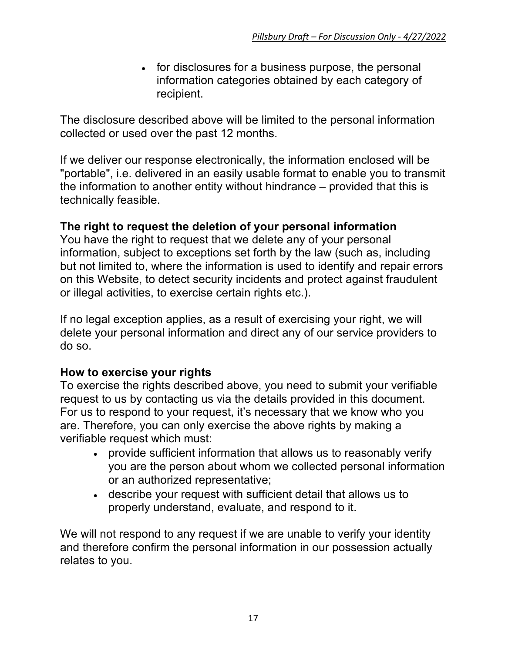• for disclosures for a business purpose, the personal information categories obtained by each category of recipient.

The disclosure described above will be limited to the personal information collected or used over the past 12 months.

If we deliver our response electronically, the information enclosed will be "portable", i.e. delivered in an easily usable format to enable you to transmit the information to another entity without hindrance – provided that this is technically feasible.

#### **The right to request the deletion of your personal information**

You have the right to request that we delete any of your personal information, subject to exceptions set forth by the law (such as, including but not limited to, where the information is used to identify and repair errors on this Website, to detect security incidents and protect against fraudulent or illegal activities, to exercise certain rights etc.).

If no legal exception applies, as a result of exercising your right, we will delete your personal information and direct any of our service providers to do so.

## **How to exercise your rights**

To exercise the rights described above, you need to submit your verifiable request to us by contacting us via the details provided in this document. For us to respond to your request, it's necessary that we know who you are. Therefore, you can only exercise the above rights by making a verifiable request which must:

- provide sufficient information that allows us to reasonably verify you are the person about whom we collected personal information or an authorized representative;
- describe your request with sufficient detail that allows us to properly understand, evaluate, and respond to it.

We will not respond to any request if we are unable to verify your identity and therefore confirm the personal information in our possession actually relates to you.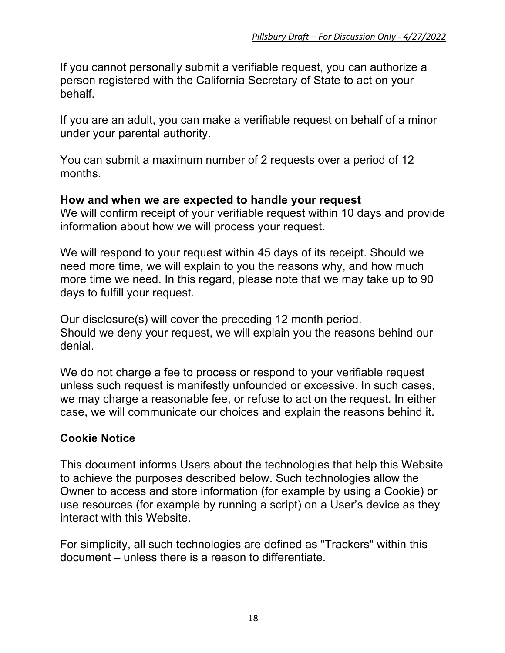If you cannot personally submit a verifiable request, you can authorize a person registered with the California Secretary of State to act on your behalf.

If you are an adult, you can make a verifiable request on behalf of a minor under your parental authority.

You can submit a maximum number of 2 requests over a period of 12 months.

#### **How and when we are expected to handle your request**

We will confirm receipt of your verifiable request within 10 days and provide information about how we will process your request.

We will respond to your request within 45 days of its receipt. Should we need more time, we will explain to you the reasons why, and how much more time we need. In this regard, please note that we may take up to 90 days to fulfill your request.

Our disclosure(s) will cover the preceding 12 month period. Should we deny your request, we will explain you the reasons behind our denial.

We do not charge a fee to process or respond to your verifiable request unless such request is manifestly unfounded or excessive. In such cases, we may charge a reasonable fee, or refuse to act on the request. In either case, we will communicate our choices and explain the reasons behind it.

#### **Cookie Notice**

This document informs Users about the technologies that help this Website to achieve the purposes described below. Such technologies allow the Owner to access and store information (for example by using a Cookie) or use resources (for example by running a script) on a User's device as they interact with this Website.

For simplicity, all such technologies are defined as "Trackers" within this document – unless there is a reason to differentiate.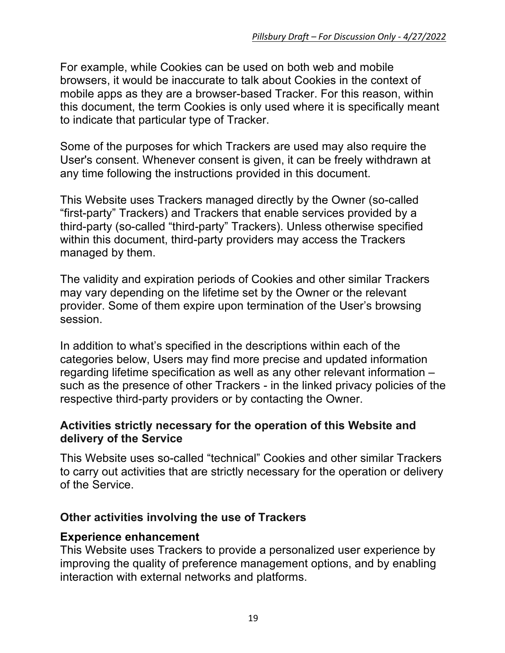For example, while Cookies can be used on both web and mobile browsers, it would be inaccurate to talk about Cookies in the context of mobile apps as they are a browser-based Tracker. For this reason, within this document, the term Cookies is only used where it is specifically meant to indicate that particular type of Tracker.

Some of the purposes for which Trackers are used may also require the User's consent. Whenever consent is given, it can be freely withdrawn at any time following the instructions provided in this document.

This Website uses Trackers managed directly by the Owner (so-called "first-party" Trackers) and Trackers that enable services provided by a third-party (so-called "third-party" Trackers). Unless otherwise specified within this document, third-party providers may access the Trackers managed by them.

The validity and expiration periods of Cookies and other similar Trackers may vary depending on the lifetime set by the Owner or the relevant provider. Some of them expire upon termination of the User's browsing session.

In addition to what's specified in the descriptions within each of the categories below, Users may find more precise and updated information regarding lifetime specification as well as any other relevant information – such as the presence of other Trackers - in the linked privacy policies of the respective third-party providers or by contacting the Owner.

#### **Activities strictly necessary for the operation of this Website and delivery of the Service**

This Website uses so-called "technical" Cookies and other similar Trackers to carry out activities that are strictly necessary for the operation or delivery of the Service.

#### **Other activities involving the use of Trackers**

#### **Experience enhancement**

This Website uses Trackers to provide a personalized user experience by improving the quality of preference management options, and by enabling interaction with external networks and platforms.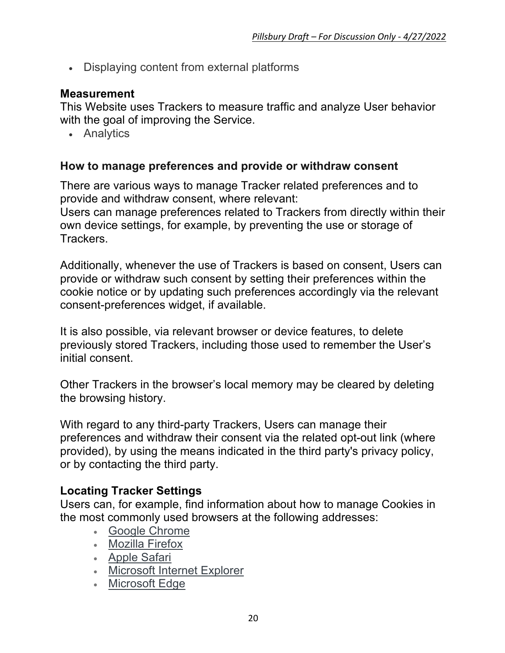• Displaying content from external platforms

#### **Measurement**

This Website uses Trackers to measure traffic and analyze User behavior with the goal of improving the Service.

• Analytics

#### **How to manage preferences and provide or withdraw consent**

There are various ways to manage Tracker related preferences and to provide and withdraw consent, where relevant:

Users can manage preferences related to Trackers from directly within their own device settings, for example, by preventing the use or storage of Trackers.

Additionally, whenever the use of Trackers is based on consent, Users can provide or withdraw such consent by setting their preferences within the cookie notice or by updating such preferences accordingly via the relevant consent-preferences widget, if available.

It is also possible, via relevant browser or device features, to delete previously stored Trackers, including those used to remember the User's initial consent.

Other Trackers in the browser's local memory may be cleared by deleting the browsing history.

With regard to any third-party Trackers, Users can manage their preferences and withdraw their consent via the related opt-out link (where provided), by using the means indicated in the third party's privacy policy, or by contacting the third party.

## **Locating Tracker Settings**

Users can, for example, find information about how to manage Cookies in the most commonly used browsers at the following addresses:

- Google Chrome
- Mozilla Firefox
- Apple Safari
- Microsoft Internet Explorer
- Microsoft Edge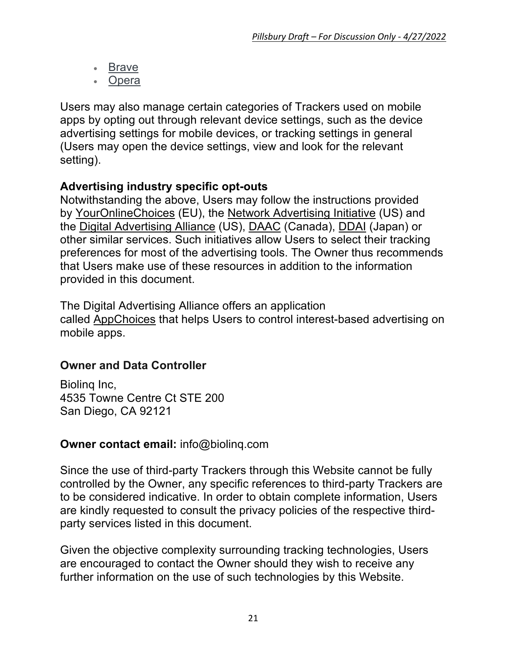- **Brave**
- **Opera**

Users may also manage certain categories of Trackers used on mobile apps by opting out through relevant device settings, such as the device advertising settings for mobile devices, or tracking settings in general (Users may open the device settings, view and look for the relevant setting).

# **Advertising industry specific opt-outs**

Notwithstanding the above, Users may follow the instructions provided by YourOnlineChoices (EU), the Network Advertising Initiative (US) and the Digital Advertising Alliance (US), DAAC (Canada), DDAI (Japan) or other similar services. Such initiatives allow Users to select their tracking preferences for most of the advertising tools. The Owner thus recommends that Users make use of these resources in addition to the information provided in this document.

The Digital Advertising Alliance offers an application called AppChoices that helps Users to control interest-based advertising on mobile apps.

## **Owner and Data Controller**

Biolinq Inc, 4535 Towne Centre Ct STE 200 San Diego, CA 92121

## **Owner contact email:** info@biolinq.com

Since the use of third-party Trackers through this Website cannot be fully controlled by the Owner, any specific references to third-party Trackers are to be considered indicative. In order to obtain complete information, Users are kindly requested to consult the privacy policies of the respective thirdparty services listed in this document.

Given the objective complexity surrounding tracking technologies, Users are encouraged to contact the Owner should they wish to receive any further information on the use of such technologies by this Website.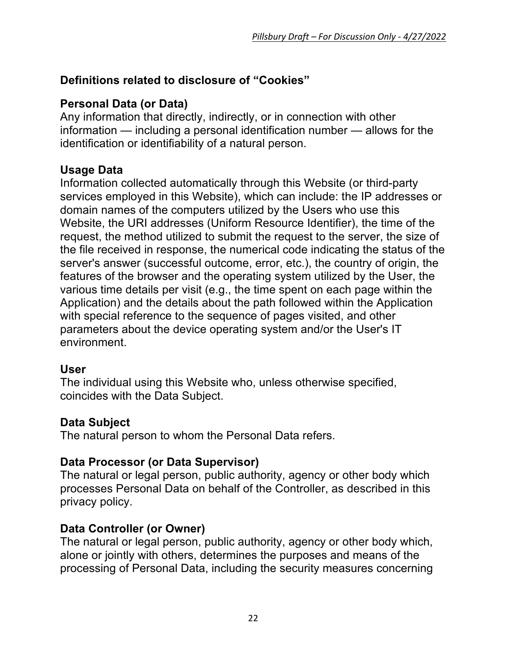# **Definitions related to disclosure of "Cookies"**

# **Personal Data (or Data)**

Any information that directly, indirectly, or in connection with other information — including a personal identification number — allows for the identification or identifiability of a natural person.

## **Usage Data**

Information collected automatically through this Website (or third-party services employed in this Website), which can include: the IP addresses or domain names of the computers utilized by the Users who use this Website, the URI addresses (Uniform Resource Identifier), the time of the request, the method utilized to submit the request to the server, the size of the file received in response, the numerical code indicating the status of the server's answer (successful outcome, error, etc.), the country of origin, the features of the browser and the operating system utilized by the User, the various time details per visit (e.g., the time spent on each page within the Application) and the details about the path followed within the Application with special reference to the sequence of pages visited, and other parameters about the device operating system and/or the User's IT environment.

#### **User**

The individual using this Website who, unless otherwise specified, coincides with the Data Subject.

#### **Data Subject**

The natural person to whom the Personal Data refers.

#### **Data Processor (or Data Supervisor)**

The natural or legal person, public authority, agency or other body which processes Personal Data on behalf of the Controller, as described in this privacy policy.

## **Data Controller (or Owner)**

The natural or legal person, public authority, agency or other body which, alone or jointly with others, determines the purposes and means of the processing of Personal Data, including the security measures concerning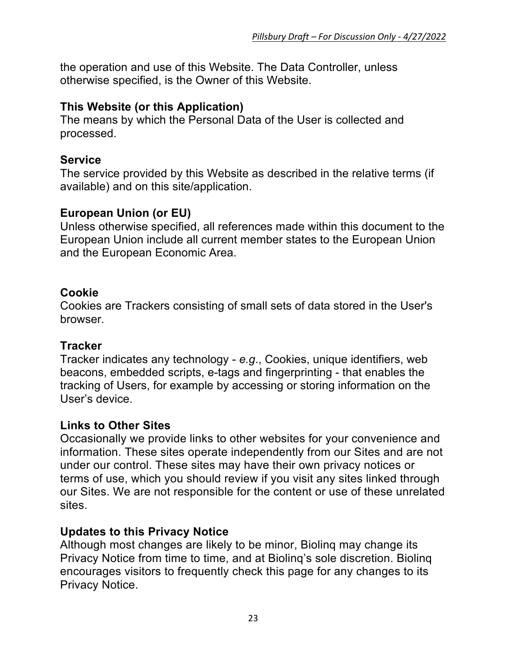the operation and use of this Website. The Data Controller, unless otherwise specified, is the Owner of this Website.

#### **This Website (or this Application)**

The means by which the Personal Data of the User is collected and processed.

#### **Service**

The service provided by this Website as described in the relative terms (if available) and on this site/application.

## **European Union (or EU)**

Unless otherwise specified, all references made within this document to the European Union include all current member states to the European Union and the European Economic Area.

#### **Cookie**

Cookies are Trackers consisting of small sets of data stored in the User's browser.

## **Tracker**

Tracker indicates any technology - *e.g*., Cookies, unique identifiers, web beacons, embedded scripts, e-tags and fingerprinting - that enables the tracking of Users, for example by accessing or storing information on the User's device.

## **Links to Other Sites**

Occasionally we provide links to other websites for your convenience and information. These sites operate independently from our Sites and are not under our control. These sites may have their own privacy notices or terms of use, which you should review if you visit any sites linked through our Sites. We are not responsible for the content or use of these unrelated sites.

## **Updates to this Privacy Notice**

Although most changes are likely to be minor, Biolinq may change its Privacy Notice from time to time, and at Biolinq's sole discretion. Biolinq encourages visitors to frequently check this page for any changes to its Privacy Notice.